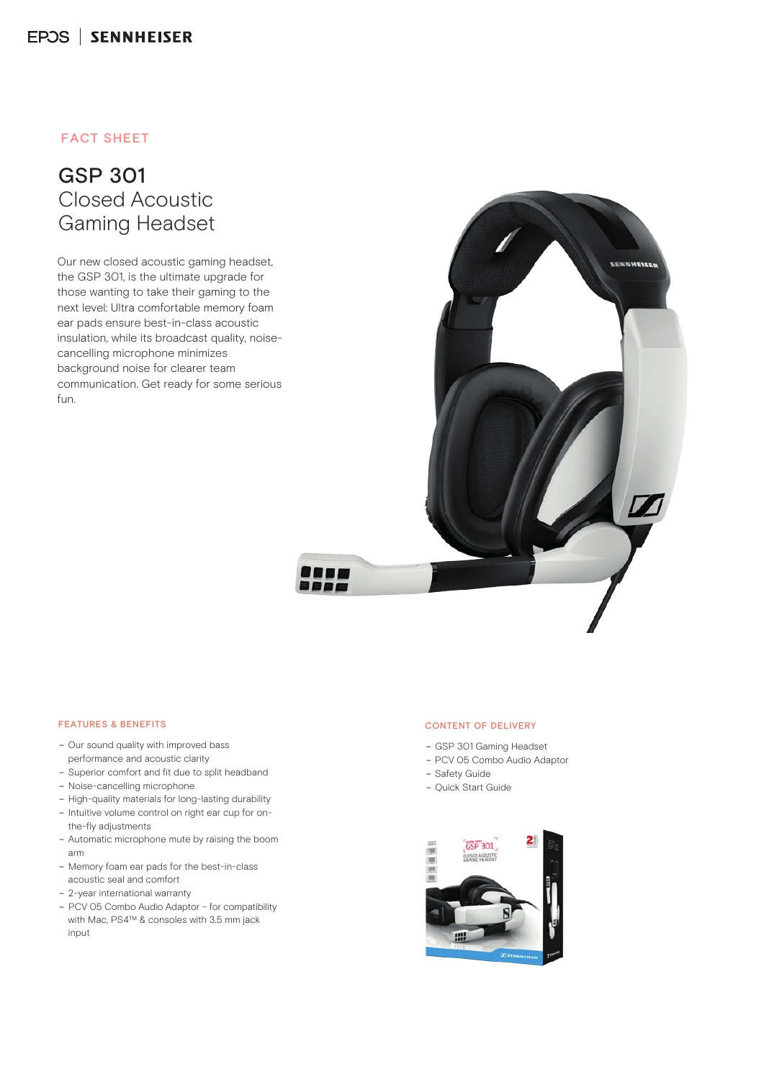### FACT SHEET

## GSP 301 Closed Acoustic Gaming Headset

Our new closed acoustic gaming headset, the GSP 301, is the ultimate upgrade for those wanting to take their gaming to the next level: Ultra comfortable memory foam ear pads ensure best-in-class acoustic insulation, while its broadcast quality, noisecancelling microphone minimizes background noise for clearer team communication. Get ready for some serious fun.



#### FEATURES & BENEFITS

- Our sound quality with improved bass performance and acoustic clarity
- Superior comfort and fit due to split headband
- Noise-cancelling microphone
- High-quality materials for long-lasting durability
- Intuitive volume control on right ear cup for onthe-fly adjustments
- Automatic microphone mute by raising the boom arm
- Memory foam ear pads for the best-in-class acoustic seal and comfort
- 2-year international warranty
- PCV 05 Combo Audio Adaptor for compatibility with Mac, PS4™ & consoles with 3.5 mm jack input

#### CONTENT OF DELIVERY

- GSP 301 Gaming Headset
- PCV 05 Combo Audio Adaptor
- Safety Guide
- Quick Start Guide